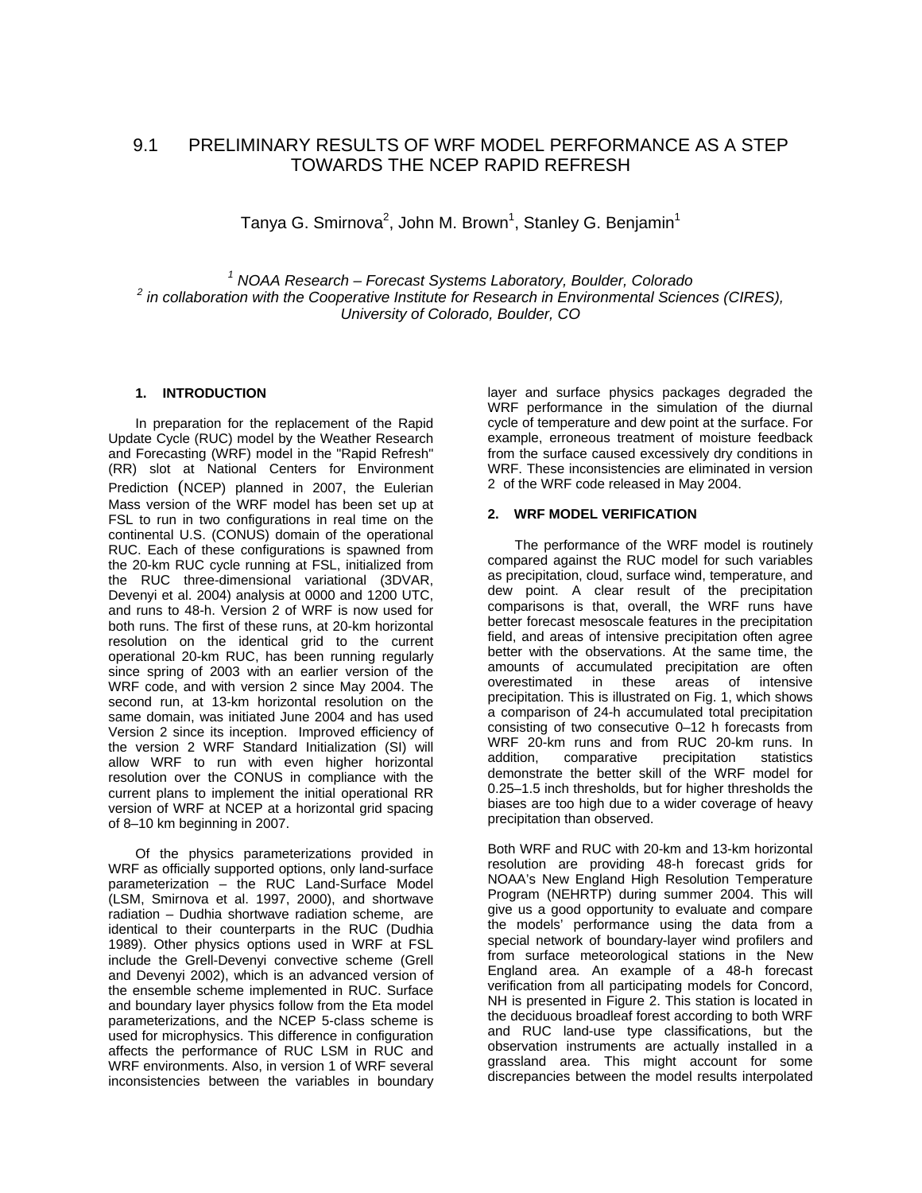# 9.1 PRELIMINARY RESULTS OF WRF MODEL PERFORMANCE AS A STEP TOWARDS THE NCEP RAPID REFRESH

Tanya G. Smirnova<sup>2</sup>, John M. Brown<sup>1</sup>, Stanley G. Benjamin<sup>1</sup>

<sup>1</sup> NOAA Research – Forecast Systems Laboratory, Boulder, Colorado <sup>2</sup><br><sup>2</sup> in callaboration with the Cooperative Institute for Peasarch in Environmental Sejon  *in collaboration with the Cooperative Institute for Research in Environmental Sciences (CIRES), University of Colorado, Boulder, CO* 

## **1. INTRODUCTION**

In preparation for the replacement of the Rapid Update Cycle (RUC) model by the Weather Research and Forecasting (WRF) model in the "Rapid Refresh" (RR) slot at National Centers for Environment Prediction (NCEP) planned in 2007, the Eulerian Mass version of the WRF model has been set up at FSL to run in two configurations in real time on the continental U.S. (CONUS) domain of the operational RUC. Each of these configurations is spawned from the 20-km RUC cycle running at FSL, initialized from the RUC three-dimensional variational (3DVAR, Devenyi et al. 2004) analysis at 0000 and 1200 UTC, and runs to 48-h. Version 2 of WRF is now used for both runs. The first of these runs, at 20-km horizontal resolution on the identical grid to the current operational 20-km RUC, has been running regularly since spring of 2003 with an earlier version of the WRF code, and with version 2 since May 2004. The second run, at 13-km horizontal resolution on the same domain, was initiated June 2004 and has used Version 2 since its inception. Improved efficiency of the version 2 WRF Standard Initialization (SI) will allow WRF to run with even higher horizontal resolution over the CONUS in compliance with the current plans to implement the initial operational RR version of WRF at NCEP at a horizontal grid spacing of 8–10 km beginning in 2007.

Of the physics parameterizations provided in WRF as officially supported options, only land-surface parameterization – the RUC Land-Surface Model (LSM, Smirnova et al. 1997, 2000), and shortwave radiation – Dudhia shortwave radiation scheme, are identical to their counterparts in the RUC (Dudhia 1989). Other physics options used in WRF at FSL include the Grell-Devenyi convective scheme (Grell and Devenyi 2002), which is an advanced version of the ensemble scheme implemented in RUC. Surface and boundary layer physics follow from the Eta model parameterizations, and the NCEP 5-class scheme is used for microphysics. This difference in configuration affects the performance of RUC LSM in RUC and WRF environments. Also, in version 1 of WRF several inconsistencies between the variables in boundary

layer and surface physics packages degraded the WRF performance in the simulation of the diurnal cycle of temperature and dew point at the surface. For example, erroneous treatment of moisture feedback from the surface caused excessively dry conditions in WRF. These inconsistencies are eliminated in version 2 of the WRF code released in May 2004.

## **2. WRF MODEL VERIFICATION**

The performance of the WRF model is routinely compared against the RUC model for such variables as precipitation, cloud, surface wind, temperature, and dew point. A clear result of the precipitation comparisons is that, overall, the WRF runs have better forecast mesoscale features in the precipitation field, and areas of intensive precipitation often agree better with the observations. At the same time, the amounts of accumulated precipitation are often overestimated in these areas of intensive precipitation. This is illustrated on Fig. 1, which shows a comparison of 24-h accumulated total precipitation consisting of two consecutive 0–12 h forecasts from WRF 20-km runs and from RUC 20-km runs. In addition, comparative precipitation statistics demonstrate the better skill of the WRF model for 0.25–1.5 inch thresholds, but for higher thresholds the biases are too high due to a wider coverage of heavy precipitation than observed.

Both WRF and RUC with 20-km and 13-km horizontal resolution are providing 48-h forecast grids for NOAA's New England High Resolution Temperature Program (NEHRTP) during summer 2004. This will give us a good opportunity to evaluate and compare the models' performance using the data from a special network of boundary-layer wind profilers and from surface meteorological stations in the New England area. An example of a 48-h forecast verification from all participating models for Concord, NH is presented in Figure 2. This station is located in the deciduous broadleaf forest according to both WRF and RUC land-use type classifications, but the observation instruments are actually installed in a grassland area. This might account for some discrepancies between the model results interpolated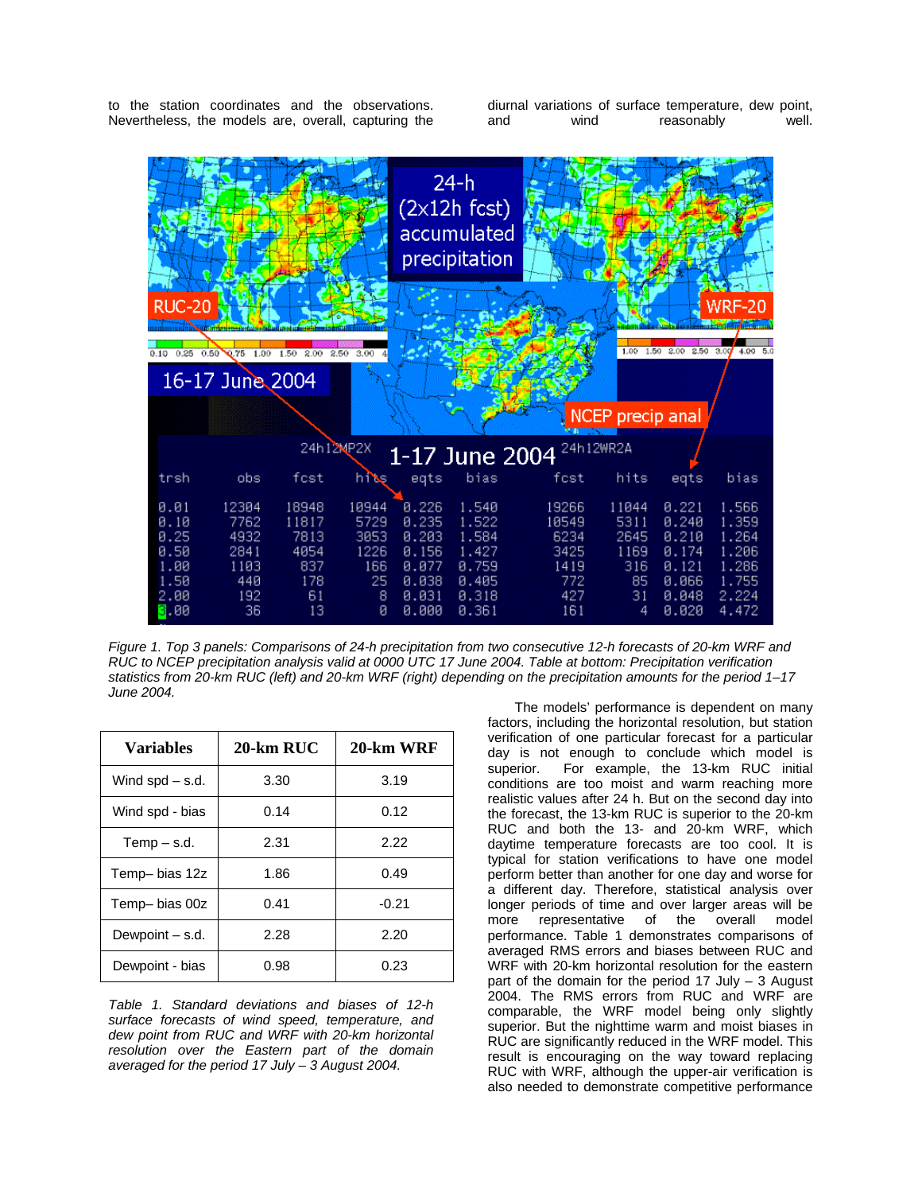to the station coordinates and the observations. Nevertheless, the models are, overall, capturing the

diurnal variations of surface temperature, dew point, and wind reasonably well.



*Figure 1. Top 3 panels: Comparisons of 24-h precipitation from two consecutive 12-h forecasts of 20-km WRF and RUC to NCEP precipitation analysis valid at 0000 UTC 17 June 2004. Table at bottom: Precipitation verification statistics from 20-km RUC (left) and 20-km WRF (right) depending on the precipitation amounts for the period 1–17 June 2004.* 

| <b>Variables</b>  | $20$ -km RUC | 20-km WRF |
|-------------------|--------------|-----------|
| Wind $spd - s.d.$ | 3.30         | 3.19      |
| Wind spd - bias   | 0.14         | 0.12      |
| $Temp - s.d.$     | 2.31         | 2.22      |
| Temp- bias 12z    | 1.86         | 0.49      |
| Temp-bias 00z     | 0.41         | $-0.21$   |
| Dewpoint - s.d.   | 2.28         | 2.20      |
| Dewpoint - bias   | 0.98         | 0.23      |

*Table 1. Standard deviations and biases of 12-h surface forecasts of wind speed, temperature, and dew point from RUC and WRF with 20-km horizontal resolution over the Eastern part of the domain averaged for the period 17 July – 3 August 2004.* 

The models' performance is dependent on many factors, including the horizontal resolution, but station verification of one particular forecast for a particular day is not enough to conclude which model is<br>superior. For example, the 13-km RUC initial For example, the 13-km RUC initial conditions are too moist and warm reaching more realistic values after 24 h. But on the second day into the forecast, the 13-km RUC is superior to the 20-km RUC and both the 13- and 20-km WRF, which daytime temperature forecasts are too cool. It is typical for station verifications to have one model perform better than another for one day and worse for a different day. Therefore, statistical analysis over longer periods of time and over larger areas will be more representative of the overall model performance. Table 1 demonstrates comparisons of averaged RMS errors and biases between RUC and WRF with 20-km horizontal resolution for the eastern part of the domain for the period 17 July – 3 August 2004. The RMS errors from RUC and WRF are comparable, the WRF model being only slightly superior. But the nighttime warm and moist biases in RUC are significantly reduced in the WRF model. This result is encouraging on the way toward replacing RUC with WRF, although the upper-air verification is also needed to demonstrate competitive performance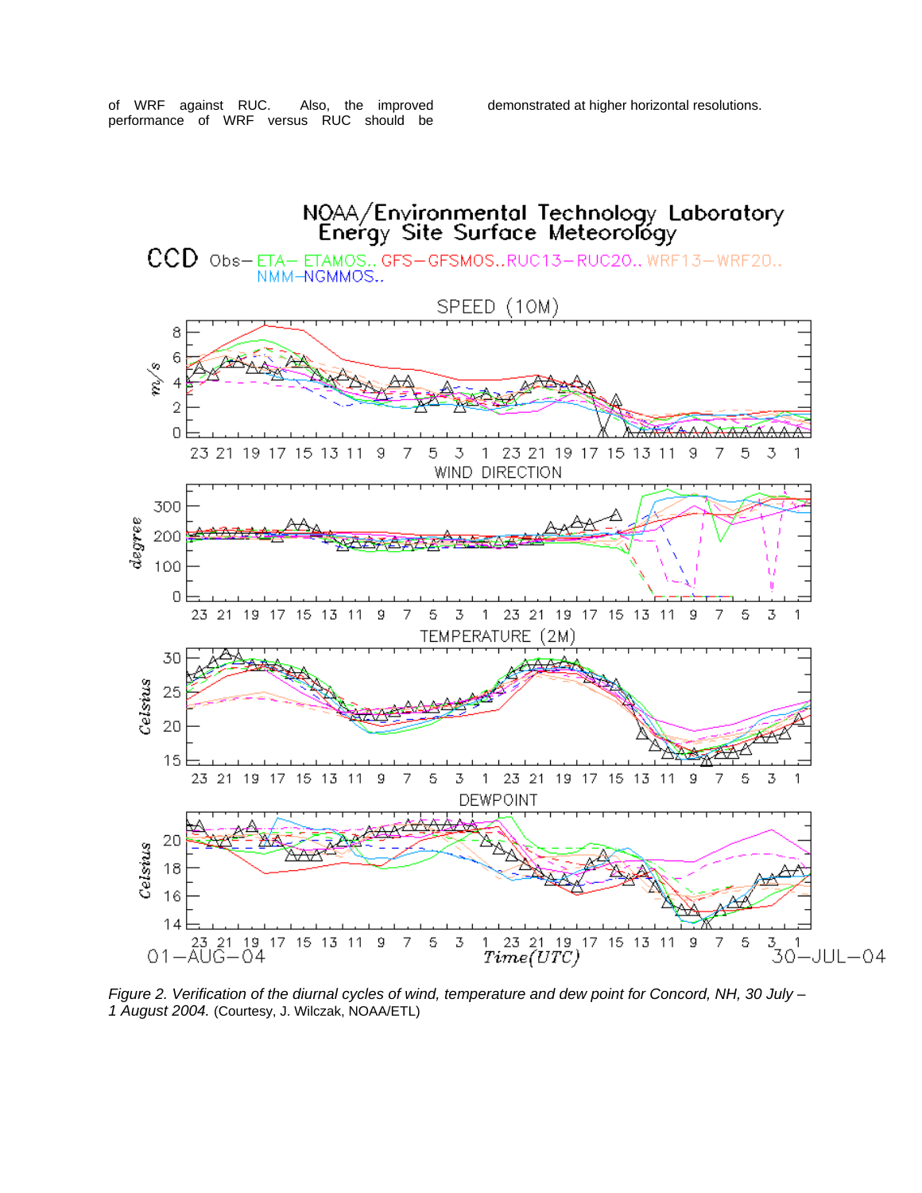of WRF against RUC. Also, the improved performance of WRF versus RUC should be

demonstrated at higher horizontal resolutions.



*Figure 2. Verification of the diurnal cycles of wind, temperature and dew point for Concord, NH, 30 July – 1 August 2004.* (Courtesy, J. Wilczak, NOAA/ETL)